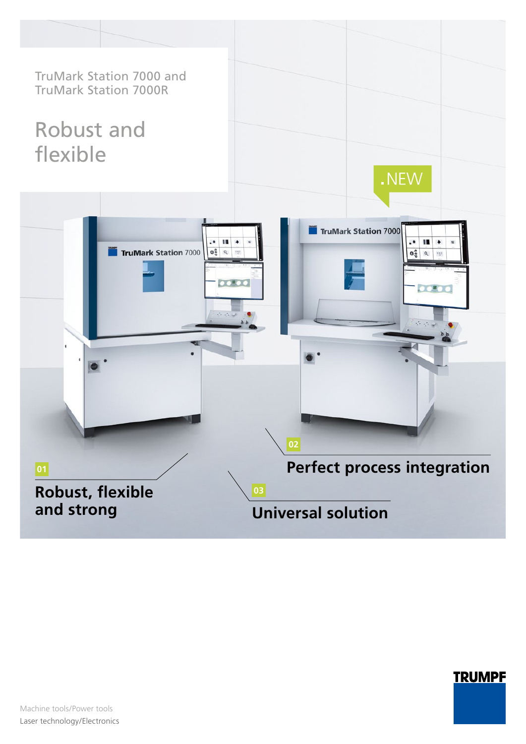

# **TRUMPF**